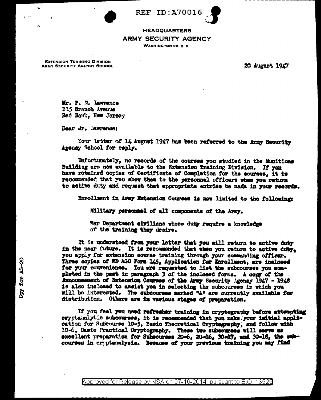**REF ID: A70016** 



## **HEADQUARTERS ARMY SECURITY AGENCY**

**WASHINGTON 25. D. C.** 

**EXTENSION TRAINING DIVISION** ARMY SECURITY AGENCY SCHOOL

÷.

20 August 1947

Mr. P. M. Lawrence 175 Branch Avenue Red Bank. New Jersey

Dear Mr. Lawrence:

Your letter of 14 August 1947 has been referred to the Army Security Agency School for reply.

Unfortunately, no records of the courses you studied in the Munitions Building are now available to the Extension Training Division. If you have retained copies of Certificate of Completion for the courses, it is recommended that you show them to the personnel officers when you return to active duty and request that appropriate entries be made in your records.

Enrollment in Army Extension Courses is now limited to the following:

Military personael of all components of the Army.

War Department civilians whose duty require a knowledge of the training they desire.

It is understood from your letter that you will return to active duty in the near future. It is recommended that when you return to active duty. you apply for extension course training through your commanding officer. Three copies of WD AGO Form 145, Application for Throllment, are inclosed for your convenience. You are requested to list the subcourses you sompleted in the past in paragraph 3 of the inclosed forms. A copy of the Announcement of Extension Courses of the Army Security Agency 1947 - 1948 is also inclosed to assist you in selecting the subcourses in which you will be interested. The subcourses marked "A" are currently available for distribution. Others are in various stages of preparation.

If you feel you need refresher training in cryptography before attempting eryptamalytic subcourses, it is recommended that you make your initial application for Subcourse 10-5, Basic Theoretical Cryptegraphy, and follow with 10-6, Basic Practical Cryptography. These two subcourses will serve as excellent preparation for Subsourses 20-6, 20-16, Y0-17, and 30-18, the subcourses in cryptenalysis. Because of your previous training you may find

Approved for Release by NSA on 07-16-2014 pursuant to E.O. 13526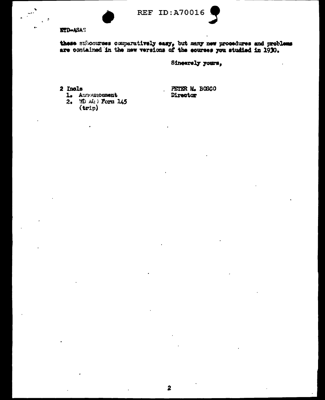



## **ETD-ASAS**

 $\frac{1}{2}$   $\frac{4}{5}$ 

these subcourses comparatively easy, but many new procedures and problems are contained in the new versions of the courses you studied in 1930.

## Sincerely yours,

- 2 Incls
	- L. Aunouncement
	- 2. WD AG > Form 145  $(\text{trip})$

PETER M. BOSCO Director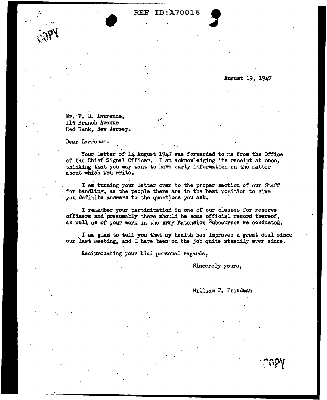## REF ID:A70016

August 19, 1947

**S** 

Mr. P. M. Lawrence, 115 Branch Avenue Red Bank, New Jersey.

•

Dear Lawrence:

Your letter of 14 August 1947 was forwarded to me from the Office of the Chief Signal Officer. I am acknowledging its receipt at once, thinking that you may want to have early information on the matter about which you write.

' ..

..

· I am turning your letter over to the proper section of our Staff for handling, as the people there are in the best position to give you definite answers to the questions you ask.

I remember your participation in one of our classes for reserve officers and presumably there should be some official record thereof, as well as of your work in the Army Extension Subcourses we conducted.

. I am glad to tell you that my health has improved a great deal since our last meeting, and I have been· on the job quite steadily ever since.

Reciprocating your kind personal regards,

Sincerely yours,

William F. Friedman